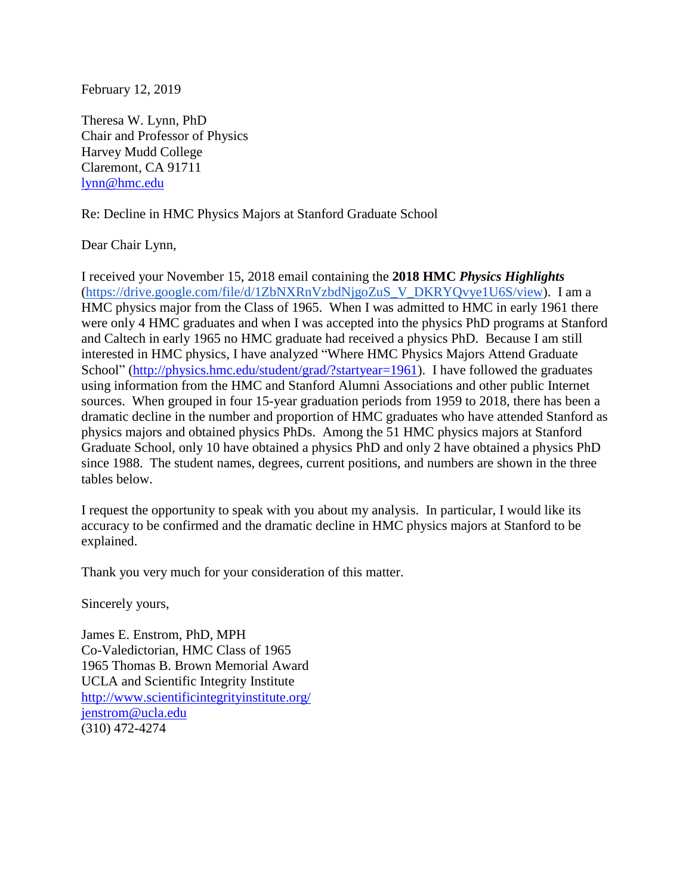February 12, 2019

Theresa W. Lynn, PhD Chair and Professor of Physics Harvey Mudd College Claremont, CA 91711 [lynn@hmc.edu](mailto:lynn@hmc.edu)

## Re: Decline in HMC Physics Majors at Stanford Graduate School

Dear Chair Lynn,

I received your November 15, 2018 email containing the **2018 HMC** *Physics Highlights* [\(https://drive.google.com/file/d/1ZbNXRnVzbdNjgoZuS\\_V\\_DKRYQvye1U6S/view\)](https://drive.google.com/file/d/1ZbNXRnVzbdNjgoZuS_V_DKRYQvye1U6S/view). I am a HMC physics major from the Class of 1965. When I was admitted to HMC in early 1961 there were only 4 HMC graduates and when I was accepted into the physics PhD programs at Stanford and Caltech in early 1965 no HMC graduate had received a physics PhD. Because I am still interested in HMC physics, I have analyzed "Where HMC Physics Majors Attend Graduate School" [\(http://physics.hmc.edu/student/grad/?startyear=1961\)](http://physics.hmc.edu/student/grad/?startyear=1961). I have followed the graduates using information from the HMC and Stanford Alumni Associations and other public Internet sources. When grouped in four 15-year graduation periods from 1959 to 2018, there has been a dramatic decline in the number and proportion of HMC graduates who have attended Stanford as physics majors and obtained physics PhDs. Among the 51 HMC physics majors at Stanford Graduate School, only 10 have obtained a physics PhD and only 2 have obtained a physics PhD since 1988. The student names, degrees, current positions, and numbers are shown in the three tables below.

I request the opportunity to speak with you about my analysis. In particular, I would like its accuracy to be confirmed and the dramatic decline in HMC physics majors at Stanford to be explained.

Thank you very much for your consideration of this matter.

Sincerely yours,

James E. Enstrom, PhD, MPH Co-Valedictorian, HMC Class of 1965 1965 Thomas B. Brown Memorial Award UCLA and Scientific Integrity Institute <http://www.scientificintegrityinstitute.org/> [jenstrom@ucla.edu](mailto:jenstrom@ucla.edu) (310) 472-4274